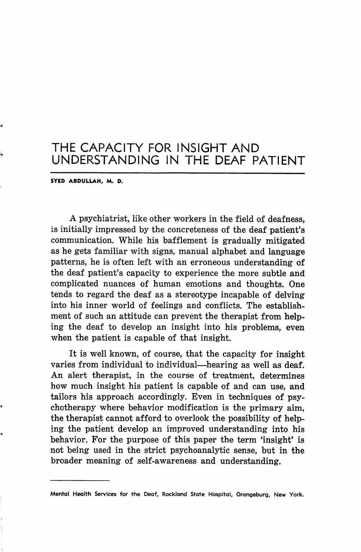## THE CAPACITY FOR INSIGHT AND UNDERSTANDING IN THE DEAF PATIENT

SYEO ABDULLAH, M. D.

A psychiatrist, like other workers in the field of deafness, is initially impressed by the concreteness of the deaf patient's communication. While his bafflement is gradually mitigated as he gets familiar with signs, manual alphabet and language patterns, he is often left with an erroneous understanding of the deaf patient's capacity to experience the more subtle and complicated nuances of human emotions and thoughts. One tends to regard the deaf as a stereotype incapable of delving into his inner world of feelings and conflicts. The establish ment of such an attitude can prevent the therapist from helping the deaf to develop an insight into his problems, even when the patient is capable of that insight.

It is well known, of course, that the capacity for insight varies from individual to individual—hearing as well as deaf. An alert therapist, in the course of treatment, determines how much insight his patient is capable of and can use, and tailors his approach accordingly. Even in techniques of psy chotherapy where behavior modification is the primary aim, the therapist cannot afford to overlook the possibility of help ing the patient develop an improved understanding into his behavior. For the purpose of this paper the term 'insight' is not being used in the strict psychoanalytic sense, but in the broader meaning of self-awareness and understanding.

Mental Health Services for the Deaf, Rockland State Hospital, Orangeburg, New York.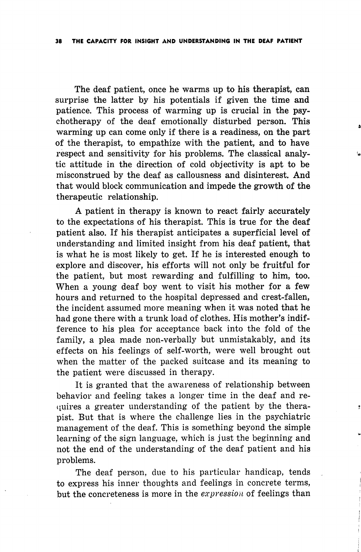The deaf patient, once he warms up to his therapist, can surprise the latter by his potentials if given the time and patience. This process of warming up is crucial in the psy chotherapy of the deaf emotionally disturbed person. This warming up can come only if there is a readiness, on the part of the therapist, to empathize with the patient, and to have respect and sensitivity for his problems. The classical analy tic attitude in the direction of cold objectivity is apt to be misconstrued by the deaf as callousness and disinterest. And that would block communication and impede the growth of the therapeutic relationship.

A patient in therapy is known to react fairly accurately to the expectations of his therapist. This is true for the deaf patient also. If his therapist anticipates a superficial level of understanding and limited insight from his deaf patient, that is what he is most likely to get. If he is interested enough to explore and discover, his efforts will not only be fruitful for the patient, but most rewarding and fulfilling to him, too. When a young deaf boy went to visit his mother for a few hours and returned to the hospital depressed and crest-fallen, the incident assumed more meaning when it was noted that he had gone there with a trunk load of clothes. His mother's indif ference to his plea for acceptance back into the fold of the family, a plea made non-verbally but unmistakably, and its effects on his feelings of self-worth, were well brought out when the matter of the packed suitcase and its meaning to the patient were discussed in therapy.

It is granted that the awareness of relationship between behavior and feeling takes a longer time in the deaf and re- (iuires a greater understanding of the patient by the thera pist. But that is where the challenge lies in the psychiatric management of the deaf. This is something beyond the simple learning of the sign language, which is just the beginning and not the end of the understanding of the deaf patient and his problems.

The deaf person, due to his particular handicap, tends to express his inner thoughts and feelings in concrete terms, but the concreteness is more in the  $expression$  of feelings than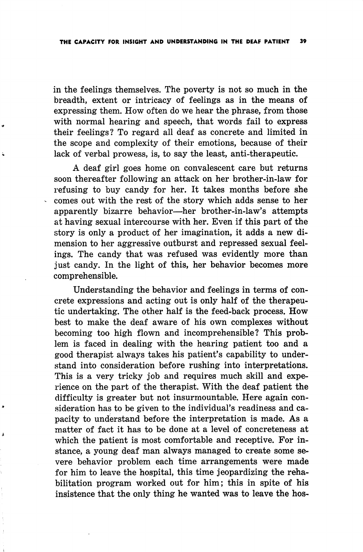in the feelings themselves. The poverty is not so much in the breadth, extent or intricacy of feelings as in the means of expressing them. How often do we hear the phrase, from those with normal hearing and speech, that words fail to express their feelings? To regard all deaf as concrete and limited in the scope and complexity of their emotions, because of their lack of verbal prowess, is, to say the least, anti-therapeutic.

A deaf girl goes home on convalescent care but returns soon thereafter following an attack on her brother-in-law for refusing to buy candy for her. It takes months before she comes out with the rest of the story which adds sense to her apparently bizarre behavior—her brother-in-law's attempts at having sexual intercourse with her. Even if this part of the story is only a product of her imagination, it adds a new di mension to her aggressive outburst and repressed sexual feel ings. The candy that was refused was evidently more than just candy. In the light of this, her behavior becomes more comprehensible.

Understanding the behavior and feelings in terms of con crete expressions and acting out is only half of the therapeu tic undertaking. The other half is the feed-back process. How best to make the deaf aware of his own complexes without becoming too high flown and incomprehensible? This prob lem is faced in dealing with the hearing patient too and a good therapist always takes his patient's capability to under stand into consideration before rushing into interpretations. This is a very tricky job and requires much skill and expe rience on the part of the therapist. With the deaf patient the difficulty is greater but not insurmountable. Here again con sideration has to be given to the individual's readiness and ca pacity to understand before the interpretation is made. As a matter of fact it has to be done at a level of concreteness at which the patient is most comfortable and receptive. For in stance, a young deaf man always managed to create some se vere behavior problem each time arrangements were made for him to leave the hospital, this time jeopardizing the reha bilitation program worked out for him; this in spite of his insistence that the only thing he wanted was to leave the hos-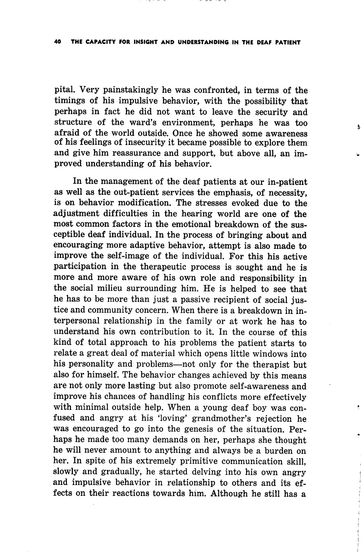## 40 THE CAPACITY FOR INSIGHT AND UNDERSTANDING IN THE DEAF PATIENT

pital. Very painstakingly he was confronted, in terms of the timings of his impulsive behavior, with the possibility that perhaps in fact he did not want to leave the security and structure of the ward's environment, perhaps he was too afraid of the world outside. Once he showed some awareness of his feelings of insecurity it became possible to explore them and give him reassurance and support, but above all, an im proved understanding of his behavior.

 $\pmb{\mathsf{a}}$ 

In the management of the deaf patients at our in-patient as well as the out-patient services the emphasis, of necessity, is on behavior modification. The stresses evoked due to the adiustment difficulties in the hearing world are one of the most common factors in the emotional breakdown of the sus ceptible deaf individual. In the process of bringing about and encouraging more adaptive behavior, attempt is also made to improve the self-image of the individual. For this his active participation in the therapeutic process is sought and he is more and more aware of his own role and responsibility in the social milieu surrounding him. He is helped to see that he has to be more than just a passive recipient of social jus tice and community concern. When there is a breakdown in in terpersonal relationship in the family or at work he has to understand his own contribution to it. In the course of this kind of total approach to his problems the patient starts to relate a great deal of material which opens little windows into his personality and problems—not only for the therapist but also for himself. The behavior changes achieved by this means are not only more lasting but also promote self-awareness and improve his chances of handling his conflicts more effectively with minimal outside help. When a young deaf boy was con fused and angry at his 'loving' grandmother's rejection he was encouraged to go into the genesis of the situation. Per haps he made too many demands on her, perhaps she thought he will never amount to anything and always be a burden on her. In spite of his extremely primitive communication skill, slowly and gradually, he started delving into his own angry and impulsive behavior in relationship to others and its ef fects on their reactions towards him. Although he still has a